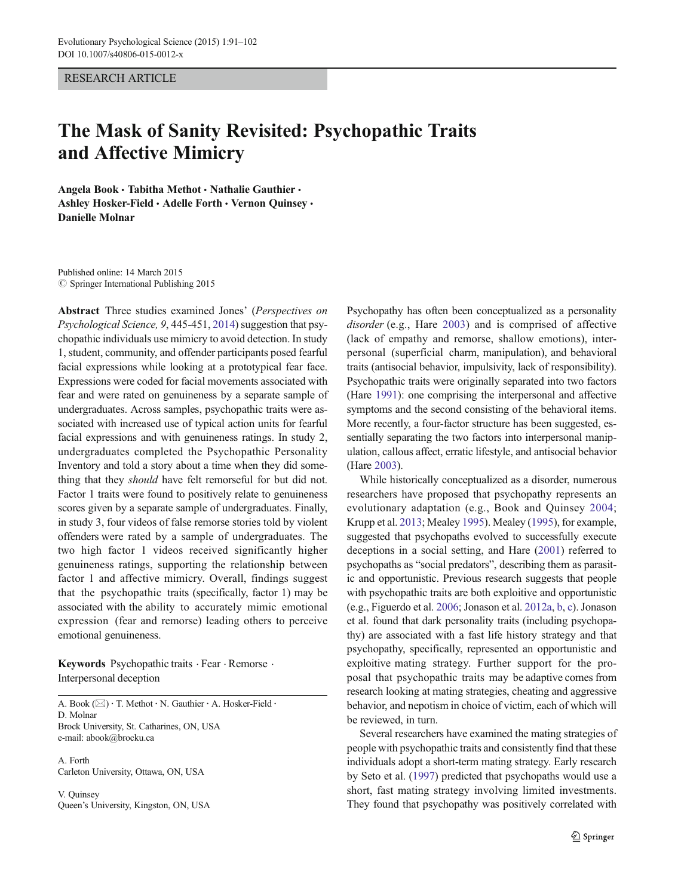## RESEARCH ARTICLE

# The Mask of Sanity Revisited: Psychopathic Traits and Affective Mimicry

Angela Book · Tabitha Methot · Nathalie Gauthier · Ashley Hosker-Field · Adelle Forth · Vernon Quinsey · Danielle Molnar

Published online: 14 March 2015  $\circ$  Springer International Publishing 2015

Abstract Three studies examined Jones' (Perspectives on Psychological Science, 9, 445-451, [2014](#page-11-0)) suggestion that psychopathic individuals use mimicry to avoid detection. In study 1, student, community, and offender participants posed fearful facial expressions while looking at a prototypical fear face. Expressions were coded for facial movements associated with fear and were rated on genuineness by a separate sample of undergraduates. Across samples, psychopathic traits were associated with increased use of typical action units for fearful facial expressions and with genuineness ratings. In study 2, undergraduates completed the Psychopathic Personality Inventory and told a story about a time when they did something that they should have felt remorseful for but did not. Factor 1 traits were found to positively relate to genuineness scores given by a separate sample of undergraduates. Finally, in study 3, four videos of false remorse stories told by violent offenders were rated by a sample of undergraduates. The two high factor 1 videos received significantly higher genuineness ratings, supporting the relationship between factor 1 and affective mimicry. Overall, findings suggest that the psychopathic traits (specifically, factor 1) may be associated with the ability to accurately mimic emotional expression (fear and remorse) leading others to perceive emotional genuineness.

Keywords Psychopathic traits · Fear · Remorse · Interpersonal deception

A. Book ( $\boxtimes$ ) · T. Methot · N. Gauthier · A. Hosker-Field · D. Molnar Brock University, St. Catharines, ON, USA e-mail: abook@brocku.ca

A. Forth Carleton University, Ottawa, ON, USA

V. Quinsey Queen's University, Kingston, ON, USA Psychopathy has often been conceptualized as a personality disorder (e.g., Hare [2003](#page-10-0)) and is comprised of affective (lack of empathy and remorse, shallow emotions), interpersonal (superficial charm, manipulation), and behavioral traits (antisocial behavior, impulsivity, lack of responsibility). Psychopathic traits were originally separated into two factors (Hare [1991\)](#page-10-0): one comprising the interpersonal and affective symptoms and the second consisting of the behavioral items. More recently, a four-factor structure has been suggested, essentially separating the two factors into interpersonal manipulation, callous affect, erratic lifestyle, and antisocial behavior (Hare [2003](#page-10-0)).

While historically conceptualized as a disorder, numerous researchers have proposed that psychopathy represents an evolutionary adaptation (e.g., Book and Quinsey [2004;](#page-10-0) Krupp et al. [2013](#page-11-0); Mealey [1995](#page-11-0)). Mealey ([1995\)](#page-11-0), for example, suggested that psychopaths evolved to successfully execute deceptions in a social setting, and Hare [\(2001\)](#page-10-0) referred to psychopaths as "social predators", describing them as parasitic and opportunistic. Previous research suggests that people with psychopathic traits are both exploitive and opportunistic (e.g., Figuerdo et al. [2006;](#page-10-0) Jonason et al. [2012a](#page-11-0), [b](#page-11-0), [c](#page-11-0)). Jonason et al. found that dark personality traits (including psychopathy) are associated with a fast life history strategy and that psychopathy, specifically, represented an opportunistic and exploitive mating strategy. Further support for the proposal that psychopathic traits may be adaptive comes from research looking at mating strategies, cheating and aggressive behavior, and nepotism in choice of victim, each of which will be reviewed, in turn.

Several researchers have examined the mating strategies of people with psychopathic traits and consistently find that these individuals adopt a short-term mating strategy. Early research by Seto et al. [\(1997\)](#page-11-0) predicted that psychopaths would use a short, fast mating strategy involving limited investments. They found that psychopathy was positively correlated with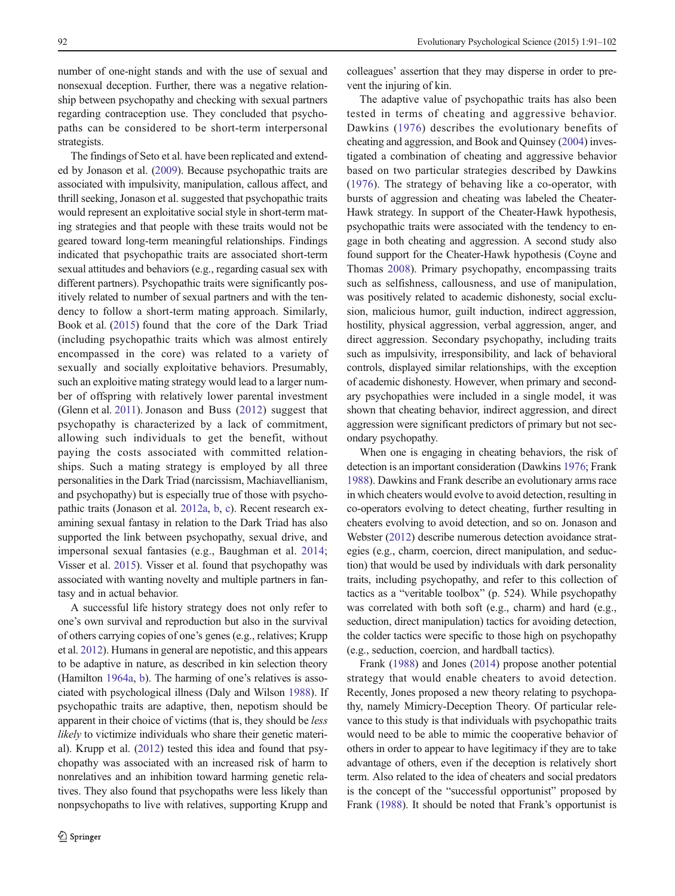number of one-night stands and with the use of sexual and nonsexual deception. Further, there was a negative relationship between psychopathy and checking with sexual partners regarding contraception use. They concluded that psychopaths can be considered to be short-term interpersonal strategists.

The findings of Seto et al. have been replicated and extended by Jonason et al. [\(2009](#page-10-0)). Because psychopathic traits are associated with impulsivity, manipulation, callous affect, and thrill seeking, Jonason et al. suggested that psychopathic traits would represent an exploitative social style in short-term mating strategies and that people with these traits would not be geared toward long-term meaningful relationships. Findings indicated that psychopathic traits are associated short-term sexual attitudes and behaviors (e.g., regarding casual sex with different partners). Psychopathic traits were significantly positively related to number of sexual partners and with the tendency to follow a short-term mating approach. Similarly, Book et al. [\(2015\)](#page-10-0) found that the core of the Dark Triad (including psychopathic traits which was almost entirely encompassed in the core) was related to a variety of sexually and socially exploitative behaviors. Presumably, such an exploitive mating strategy would lead to a larger number of offspring with relatively lower parental investment (Glenn et al. [2011\)](#page-10-0). Jonason and Buss ([2012\)](#page-10-0) suggest that psychopathy is characterized by a lack of commitment, allowing such individuals to get the benefit, without paying the costs associated with committed relationships. Such a mating strategy is employed by all three personalities in the Dark Triad (narcissism, Machiavellianism, and psychopathy) but is especially true of those with psychopathic traits (Jonason et al. [2012a](#page-11-0), [b,](#page-11-0) [c](#page-11-0)). Recent research examining sexual fantasy in relation to the Dark Triad has also supported the link between psychopathy, sexual drive, and impersonal sexual fantasies (e.g., Baughman et al. [2014](#page-10-0); Visser et al. [2015](#page-11-0)). Visser et al. found that psychopathy was associated with wanting novelty and multiple partners in fantasy and in actual behavior.

A successful life history strategy does not only refer to one's own survival and reproduction but also in the survival of others carrying copies of one's genes (e.g., relatives; Krupp et al. [2012\)](#page-11-0). Humans in general are nepotistic, and this appears to be adaptive in nature, as described in kin selection theory (Hamilton [1964a,](#page-10-0) [b\)](#page-10-0). The harming of one's relatives is associated with psychological illness (Daly and Wilson [1988](#page-10-0)). If psychopathic traits are adaptive, then, nepotism should be apparent in their choice of victims (that is, they should be less likely to victimize individuals who share their genetic material). Krupp et al. ([2012](#page-11-0)) tested this idea and found that psychopathy was associated with an increased risk of harm to nonrelatives and an inhibition toward harming genetic relatives. They also found that psychopaths were less likely than nonpsychopaths to live with relatives, supporting Krupp and

colleagues' assertion that they may disperse in order to prevent the injuring of kin.

The adaptive value of psychopathic traits has also been tested in terms of cheating and aggressive behavior. Dawkins ([1976](#page-10-0)) describes the evolutionary benefits of cheating and aggression, and Book and Quinsey ([2004](#page-10-0)) investigated a combination of cheating and aggressive behavior based on two particular strategies described by Dawkins [\(1976\)](#page-10-0). The strategy of behaving like a co-operator, with bursts of aggression and cheating was labeled the Cheater-Hawk strategy. In support of the Cheater-Hawk hypothesis, psychopathic traits were associated with the tendency to engage in both cheating and aggression. A second study also found support for the Cheater-Hawk hypothesis (Coyne and Thomas [2008](#page-10-0)). Primary psychopathy, encompassing traits such as selfishness, callousness, and use of manipulation, was positively related to academic dishonesty, social exclusion, malicious humor, guilt induction, indirect aggression, hostility, physical aggression, verbal aggression, anger, and direct aggression. Secondary psychopathy, including traits such as impulsivity, irresponsibility, and lack of behavioral controls, displayed similar relationships, with the exception of academic dishonesty. However, when primary and secondary psychopathies were included in a single model, it was shown that cheating behavior, indirect aggression, and direct aggression were significant predictors of primary but not secondary psychopathy.

When one is engaging in cheating behaviors, the risk of detection is an important consideration (Dawkins [1976;](#page-10-0) Frank [1988\)](#page-10-0). Dawkins and Frank describe an evolutionary arms race in which cheaters would evolve to avoid detection, resulting in co-operators evolving to detect cheating, further resulting in cheaters evolving to avoid detection, and so on. Jonason and Webster [\(2012](#page-10-0)) describe numerous detection avoidance strategies (e.g., charm, coercion, direct manipulation, and seduction) that would be used by individuals with dark personality traits, including psychopathy, and refer to this collection of tactics as a "veritable toolbox" (p. 524). While psychopathy was correlated with both soft (e.g., charm) and hard (e.g., seduction, direct manipulation) tactics for avoiding detection, the colder tactics were specific to those high on psychopathy (e.g., seduction, coercion, and hardball tactics).

Frank ([1988](#page-10-0)) and Jones [\(2014\)](#page-11-0) propose another potential strategy that would enable cheaters to avoid detection. Recently, Jones proposed a new theory relating to psychopathy, namely Mimicry-Deception Theory. Of particular relevance to this study is that individuals with psychopathic traits would need to be able to mimic the cooperative behavior of others in order to appear to have legitimacy if they are to take advantage of others, even if the deception is relatively short term. Also related to the idea of cheaters and social predators is the concept of the "successful opportunist" proposed by Frank [\(1988\)](#page-10-0). It should be noted that Frank's opportunist is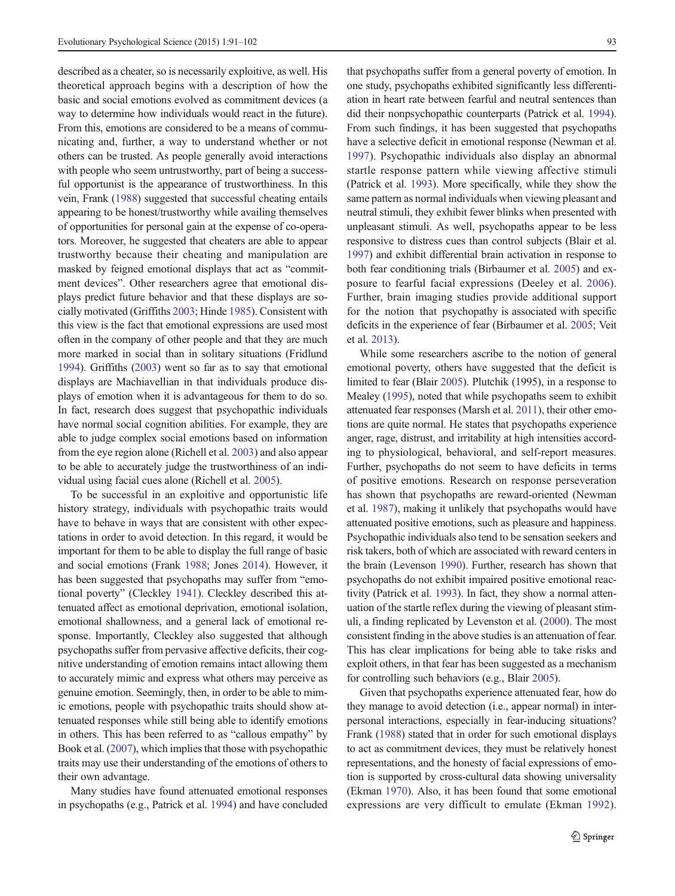described as a cheater, so is necessarily exploitive, as well. His theoretical approach begins with a description of how the basic and social emotions evolved as commitment devices (a way to determine how individuals would react in the future). From this, emotions are considered to be a means of communicating and, further, a way to understand whether or not others can be trusted. As people generally avoid interactions with people who seem untrustworthy, part of being a successful opportunist is the appearance of trustworthiness. In this vein, Frank ([1988](#page-10-0)) suggested that successful cheating entails appearing to be honest/trustworthy while availing themselves of opportunities for personal gain at the expense of co-operators. Moreover, he suggested that cheaters are able to appear trustworthy because their cheating and manipulation are masked by feigned emotional displays that act as "commitment devices". Other researchers agree that emotional displays predict future behavior and that these displays are socially motivated (Griffiths [2003](#page-10-0); Hinde [1985\)](#page-10-0). Consistent with this view is the fact that emotional expressions are used most often in the company of other people and that they are much more marked in social than in solitary situations (Fridlund [1994\)](#page-10-0). Griffiths [\(2003\)](#page-10-0) went so far as to say that emotional displays are Machiavellian in that individuals produce displays of emotion when it is advantageous for them to do so. In fact, research does suggest that psychopathic individuals have normal social cognition abilities. For example, they are able to judge complex social emotions based on information from the eye region alone (Richell et al. [2003](#page-11-0)) and also appear to be able to accurately judge the trustworthiness of an individual using facial cues alone (Richell et al. [2005\)](#page-11-0).

To be successful in an exploitive and opportunistic life history strategy, individuals with psychopathic traits would have to behave in ways that are consistent with other expectations in order to avoid detection. In this regard, it would be important for them to be able to display the full range of basic and social emotions (Frank [1988;](#page-10-0) Jones [2014](#page-11-0)). However, it has been suggested that psychopaths may suffer from "emotional poverty" (Cleckley [1941](#page-10-0)). Cleckley described this attenuated affect as emotional deprivation, emotional isolation, emotional shallowness, and a general lack of emotional response. Importantly, Cleckley also suggested that although psychopaths suffer from pervasive affective deficits, their cognitive understanding of emotion remains intact allowing them to accurately mimic and express what others may perceive as genuine emotion. Seemingly, then, in order to be able to mimic emotions, people with psychopathic traits should show attenuated responses while still being able to identify emotions in others. This has been referred to as "callous empathy" by Book et al. [\(2007\)](#page-10-0), which implies that those with psychopathic traits may use their understanding of the emotions of others to their own advantage.

Many studies have found attenuated emotional responses in psychopaths (e.g., Patrick et al. [1994](#page-11-0)) and have concluded

that psychopaths suffer from a general poverty of emotion. In one study, psychopaths exhibited significantly less differentiation in heart rate between fearful and neutral sentences than did their nonpsychopathic counterparts (Patrick et al. [1994\)](#page-11-0). From such findings, it has been suggested that psychopaths have a selective deficit in emotional response (Newman et al. [1997](#page-11-0)). Psychopathic individuals also display an abnormal startle response pattern while viewing affective stimuli (Patrick et al. [1993\)](#page-11-0). More specifically, while they show the same pattern as normal individuals when viewing pleasant and neutral stimuli, they exhibit fewer blinks when presented with unpleasant stimuli. As well, psychopaths appear to be less responsive to distress cues than control subjects (Blair et al. [1997\)](#page-10-0) and exhibit differential brain activation in response to both fear conditioning trials (Birbaumer et al. [2005](#page-10-0)) and exposure to fearful facial expressions (Deeley et al. [2006](#page-10-0)). Further, brain imaging studies provide additional support for the notion that psychopathy is associated with specific deficits in the experience of fear (Birbaumer et al. [2005](#page-10-0); Veit et al. [2013](#page-11-0)).

While some researchers ascribe to the notion of general emotional poverty, others have suggested that the deficit is limited to fear (Blair [2005\)](#page-10-0). Plutchik (1995), in a response to Mealey [\(1995\)](#page-11-0), noted that while psychopaths seem to exhibit attenuated fear responses (Marsh et al. [2011\)](#page-11-0), their other emotions are quite normal. He states that psychopaths experience anger, rage, distrust, and irritability at high intensities according to physiological, behavioral, and self-report measures. Further, psychopaths do not seem to have deficits in terms of positive emotions. Research on response perseveration has shown that psychopaths are reward-oriented (Newman et al. [1987\)](#page-11-0), making it unlikely that psychopaths would have attenuated positive emotions, such as pleasure and happiness. Psychopathic individuals also tend to be sensation seekers and risk takers, both of which are associated with reward centers in the brain (Levenson [1990\)](#page-11-0). Further, research has shown that psychopaths do not exhibit impaired positive emotional reactivity (Patrick et al. [1993\)](#page-11-0). In fact, they show a normal attenuation of the startle reflex during the viewing of pleasant stimuli, a finding replicated by Levenston et al. ([2000](#page-11-0)). The most consistent finding in the above studies is an attenuation of fear. This has clear implications for being able to take risks and exploit others, in that fear has been suggested as a mechanism for controlling such behaviors (e.g., Blair [2005](#page-10-0)).

Given that psychopaths experience attenuated fear, how do they manage to avoid detection (i.e., appear normal) in interpersonal interactions, especially in fear-inducing situations? Frank ([1988](#page-10-0)) stated that in order for such emotional displays to act as commitment devices, they must be relatively honest representations, and the honesty of facial expressions of emotion is supported by cross-cultural data showing universality (Ekman [1970\)](#page-10-0). Also, it has been found that some emotional expressions are very difficult to emulate (Ekman [1992](#page-10-0)).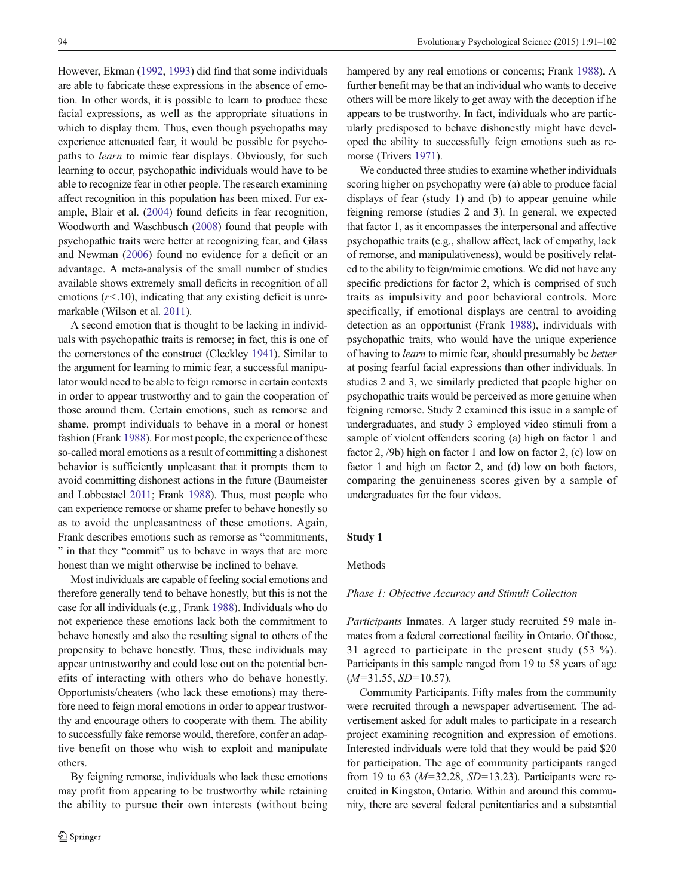However, Ekman [\(1992,](#page-10-0) [1993](#page-10-0)) did find that some individuals are able to fabricate these expressions in the absence of emotion. In other words, it is possible to learn to produce these facial expressions, as well as the appropriate situations in which to display them. Thus, even though psychopaths may experience attenuated fear, it would be possible for psychopaths to learn to mimic fear displays. Obviously, for such learning to occur, psychopathic individuals would have to be able to recognize fear in other people. The research examining affect recognition in this population has been mixed. For example, Blair et al. [\(2004](#page-10-0)) found deficits in fear recognition, Woodworth and Waschbusch ([2008](#page-11-0)) found that people with psychopathic traits were better at recognizing fear, and Glass and Newman [\(2006](#page-10-0)) found no evidence for a deficit or an advantage. A meta-analysis of the small number of studies available shows extremely small deficits in recognition of all emotions  $(r<.10)$ , indicating that any existing deficit is unremarkable (Wilson et al. [2011\)](#page-11-0).

A second emotion that is thought to be lacking in individuals with psychopathic traits is remorse; in fact, this is one of the cornerstones of the construct (Cleckley [1941\)](#page-10-0). Similar to the argument for learning to mimic fear, a successful manipulator would need to be able to feign remorse in certain contexts in order to appear trustworthy and to gain the cooperation of those around them. Certain emotions, such as remorse and shame, prompt individuals to behave in a moral or honest fashion (Frank [1988\)](#page-10-0). For most people, the experience of these so-called moral emotions as a result of committing a dishonest behavior is sufficiently unpleasant that it prompts them to avoid committing dishonest actions in the future (Baumeister and Lobbestael [2011;](#page-10-0) Frank [1988\)](#page-10-0). Thus, most people who can experience remorse or shame prefer to behave honestly so as to avoid the unpleasantness of these emotions. Again, Frank describes emotions such as remorse as "commitments, " in that they "commit" us to behave in ways that are more honest than we might otherwise be inclined to behave.

Most individuals are capable of feeling social emotions and therefore generally tend to behave honestly, but this is not the case for all individuals (e.g., Frank [1988\)](#page-10-0). Individuals who do not experience these emotions lack both the commitment to behave honestly and also the resulting signal to others of the propensity to behave honestly. Thus, these individuals may appear untrustworthy and could lose out on the potential benefits of interacting with others who do behave honestly. Opportunists/cheaters (who lack these emotions) may therefore need to feign moral emotions in order to appear trustworthy and encourage others to cooperate with them. The ability to successfully fake remorse would, therefore, confer an adaptive benefit on those who wish to exploit and manipulate others.

By feigning remorse, individuals who lack these emotions may profit from appearing to be trustworthy while retaining the ability to pursue their own interests (without being hampered by any real emotions or concerns; Frank [1988\)](#page-10-0). A further benefit may be that an individual who wants to deceive others will be more likely to get away with the deception if he appears to be trustworthy. In fact, individuals who are particularly predisposed to behave dishonestly might have developed the ability to successfully feign emotions such as remorse (Trivers [1971](#page-11-0)).

We conducted three studies to examine whether individuals scoring higher on psychopathy were (a) able to produce facial displays of fear (study 1) and (b) to appear genuine while feigning remorse (studies 2 and 3). In general, we expected that factor 1, as it encompasses the interpersonal and affective psychopathic traits (e.g., shallow affect, lack of empathy, lack of remorse, and manipulativeness), would be positively related to the ability to feign/mimic emotions. We did not have any specific predictions for factor 2, which is comprised of such traits as impulsivity and poor behavioral controls. More specifically, if emotional displays are central to avoiding detection as an opportunist (Frank [1988\)](#page-10-0), individuals with psychopathic traits, who would have the unique experience of having to learn to mimic fear, should presumably be better at posing fearful facial expressions than other individuals. In studies 2 and 3, we similarly predicted that people higher on psychopathic traits would be perceived as more genuine when feigning remorse. Study 2 examined this issue in a sample of undergraduates, and study 3 employed video stimuli from a sample of violent offenders scoring (a) high on factor 1 and factor 2, /9b) high on factor 1 and low on factor 2, (c) low on factor 1 and high on factor 2, and (d) low on both factors, comparing the genuineness scores given by a sample of undergraduates for the four videos.

## Study 1

Methods

#### Phase 1: Objective Accuracy and Stimuli Collection

Participants Inmates. A larger study recruited 59 male inmates from a federal correctional facility in Ontario. Of those, 31 agreed to participate in the present study (53 %). Participants in this sample ranged from 19 to 58 years of age  $(M=31.55, SD=10.57)$ .

Community Participants. Fifty males from the community were recruited through a newspaper advertisement. The advertisement asked for adult males to participate in a research project examining recognition and expression of emotions. Interested individuals were told that they would be paid \$20 for participation. The age of community participants ranged from 19 to 63 ( $M=32.28$ ,  $SD=13.23$ ). Participants were recruited in Kingston, Ontario. Within and around this community, there are several federal penitentiaries and a substantial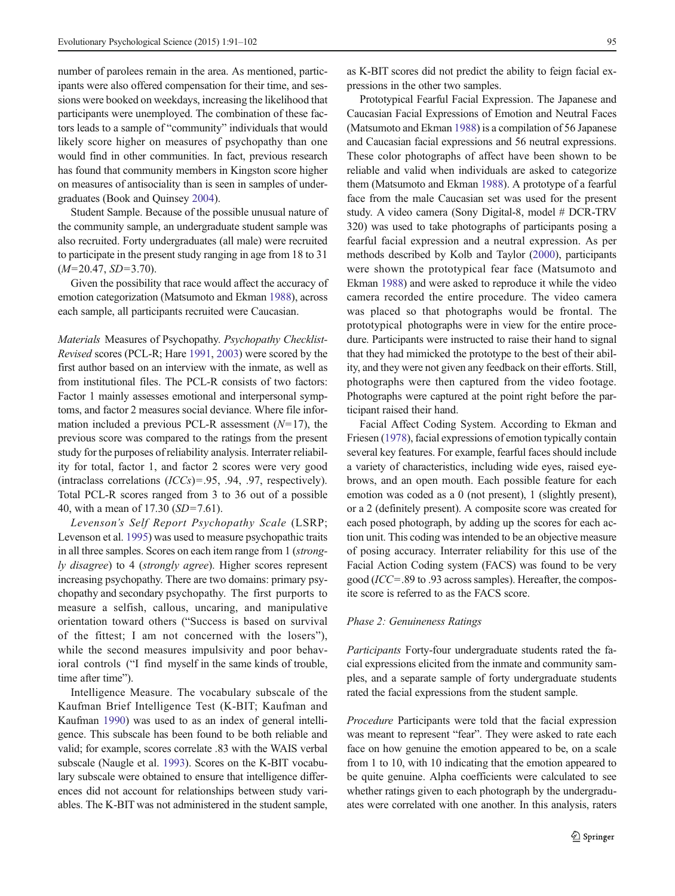number of parolees remain in the area. As mentioned, participants were also offered compensation for their time, and sessions were booked on weekdays, increasing the likelihood that participants were unemployed. The combination of these factors leads to a sample of "community" individuals that would likely score higher on measures of psychopathy than one would find in other communities. In fact, previous research has found that community members in Kingston score higher on measures of antisociality than is seen in samples of undergraduates (Book and Quinsey [2004](#page-10-0)).

Student Sample. Because of the possible unusual nature of the community sample, an undergraduate student sample was also recruited. Forty undergraduates (all male) were recruited to participate in the present study ranging in age from 18 to 31  $(M=20.47, SD=3.70)$ .

Given the possibility that race would affect the accuracy of emotion categorization (Matsumoto and Ekman [1988](#page-11-0)), across each sample, all participants recruited were Caucasian.

Materials Measures of Psychopathy. Psychopathy Checklist-Revised scores (PCL-R; Hare [1991](#page-10-0), [2003\)](#page-10-0) were scored by the first author based on an interview with the inmate, as well as from institutional files. The PCL-R consists of two factors: Factor 1 mainly assesses emotional and interpersonal symptoms, and factor 2 measures social deviance. Where file information included a previous PCL-R assessment  $(N=17)$ , the previous score was compared to the ratings from the present study for the purposes of reliability analysis. Interrater reliability for total, factor 1, and factor 2 scores were very good (intraclass correlations  $(ICCs) = .95, .94, .97$ , respectively). Total PCL-R scores ranged from 3 to 36 out of a possible 40, with a mean of 17.30 (SD=7.61).

Levenson's Self Report Psychopathy Scale (LSRP; Levenson et al. [1995\)](#page-11-0) was used to measure psychopathic traits in all three samples. Scores on each item range from 1 (strongly disagree) to 4 (strongly agree). Higher scores represent increasing psychopathy. There are two domains: primary psychopathy and secondary psychopathy. The first purports to measure a selfish, callous, uncaring, and manipulative orientation toward others ("Success is based on survival of the fittest; I am not concerned with the losers"), while the second measures impulsivity and poor behavioral controls ("I find myself in the same kinds of trouble, time after time").

Intelligence Measure. The vocabulary subscale of the Kaufman Brief Intelligence Test (K-BIT; Kaufman and Kaufman [1990\)](#page-11-0) was used to as an index of general intelligence. This subscale has been found to be both reliable and valid; for example, scores correlate .83 with the WAIS verbal subscale (Naugle et al. [1993](#page-11-0)). Scores on the K-BIT vocabulary subscale were obtained to ensure that intelligence differences did not account for relationships between study variables. The K-BIT was not administered in the student sample,

as K-BIT scores did not predict the ability to feign facial expressions in the other two samples.

Prototypical Fearful Facial Expression. The Japanese and Caucasian Facial Expressions of Emotion and Neutral Faces (Matsumoto and Ekman [1988](#page-11-0)) is a compilation of 56 Japanese and Caucasian facial expressions and 56 neutral expressions. These color photographs of affect have been shown to be reliable and valid when individuals are asked to categorize them (Matsumoto and Ekman [1988](#page-11-0)). A prototype of a fearful face from the male Caucasian set was used for the present study. A video camera (Sony Digital-8, model # DCR-TRV 320) was used to take photographs of participants posing a fearful facial expression and a neutral expression. As per methods described by Kolb and Taylor [\(2000\)](#page-11-0), participants were shown the prototypical fear face (Matsumoto and Ekman [1988\)](#page-11-0) and were asked to reproduce it while the video camera recorded the entire procedure. The video camera was placed so that photographs would be frontal. The prototypical photographs were in view for the entire procedure. Participants were instructed to raise their hand to signal that they had mimicked the prototype to the best of their ability, and they were not given any feedback on their efforts. Still, photographs were then captured from the video footage. Photographs were captured at the point right before the participant raised their hand.

Facial Affect Coding System. According to Ekman and Friesen [\(1978](#page-10-0)), facial expressions of emotion typically contain several key features. For example, fearful faces should include a variety of characteristics, including wide eyes, raised eyebrows, and an open mouth. Each possible feature for each emotion was coded as a 0 (not present), 1 (slightly present), or a 2 (definitely present). A composite score was created for each posed photograph, by adding up the scores for each action unit. This coding was intended to be an objective measure of posing accuracy. Interrater reliability for this use of the Facial Action Coding system (FACS) was found to be very good (ICC=.89 to .93 across samples). Hereafter, the composite score is referred to as the FACS score.

## Phase 2: Genuineness Ratings

Participants Forty-four undergraduate students rated the facial expressions elicited from the inmate and community samples, and a separate sample of forty undergraduate students rated the facial expressions from the student sample.

Procedure Participants were told that the facial expression was meant to represent "fear". They were asked to rate each face on how genuine the emotion appeared to be, on a scale from 1 to 10, with 10 indicating that the emotion appeared to be quite genuine. Alpha coefficients were calculated to see whether ratings given to each photograph by the undergraduates were correlated with one another. In this analysis, raters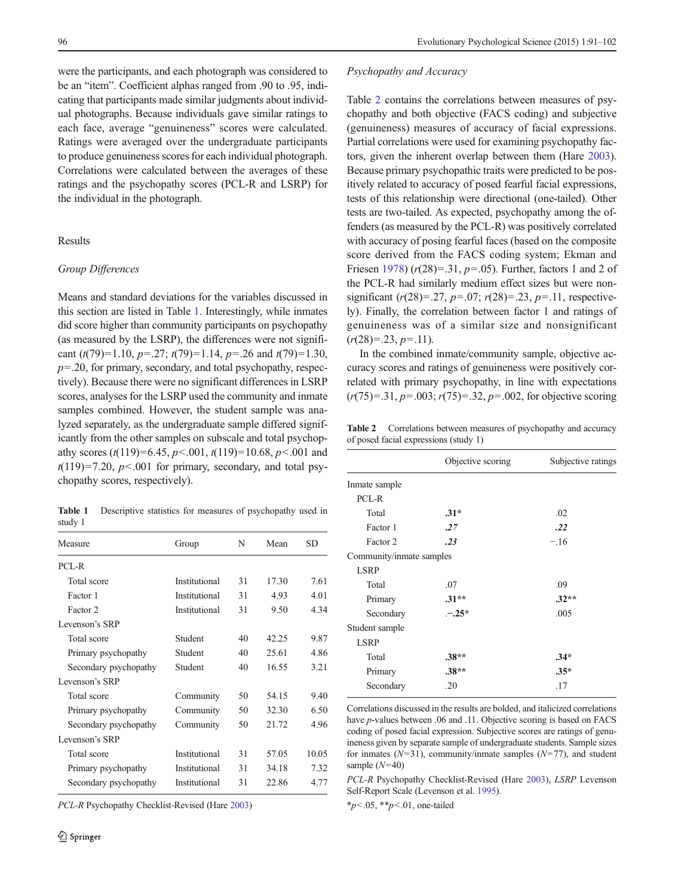were the participants, and each photograph was considered to be an "item". Coefficient alphas ranged from .90 to .95, indicating that participants made similar judgments about individual photographs. Because individuals gave similar ratings to each face, average "genuineness" scores were calculated. Ratings were averaged over the undergraduate participants to produce genuineness scores for each individual photograph. Correlations were calculated between the averages of these ratings and the psychopathy scores (PCL-R and LSRP) for the individual in the photograph.

## Results

# Group Differences

Means and standard deviations for the variables discussed in this section are listed in Table 1. Interestingly, while inmates did score higher than community participants on psychopathy (as measured by the LSRP), the differences were not significant  $(t(79)=1.10, p=.27; t(79)=1.14, p=.26$  and  $t(79)=1.30,$  $p=0.20$ , for primary, secondary, and total psychopathy, respectively). Because there were no significant differences in LSRP scores, analyses for the LSRP used the community and inmate samples combined. However, the student sample was analyzed separately, as the undergraduate sample differed significantly from the other samples on subscale and total psychopathy scores ( $t(119)=6.45$ ,  $p<.001$ ,  $t(119)=10.68$ ,  $p<.001$  and  $t(119)=7.20$ ,  $p<.001$  for primary, secondary, and total psychopathy scores, respectively).

Table 1 Descriptive statistics for measures of psychopathy used in study 1

| Measure               | Group         | N  | Mean  | SD    |
|-----------------------|---------------|----|-------|-------|
| PCL-R                 |               |    |       |       |
| Total score           | Institutional | 31 | 17.30 | 7.61  |
| Factor 1              | Institutional | 31 | 4.93  | 4.01  |
| Factor 2              | Institutional | 31 | 9.50  | 4.34  |
| Levenson's SRP        |               |    |       |       |
| Total score           | Student       | 40 | 42.25 | 9.87  |
| Primary psychopathy   | Student       | 40 | 25.61 | 4.86  |
| Secondary psychopathy | Student       | 40 | 16.55 | 3.21  |
| Levenson's SRP        |               |    |       |       |
| Total score           | Community     | 50 | 54.15 | 9.40  |
| Primary psychopathy   | Community     | 50 | 32.30 | 6.50  |
| Secondary psychopathy | Community     | 50 | 21.72 | 4.96  |
| Levenson's SRP        |               |    |       |       |
| Total score           | Institutional | 31 | 57.05 | 10.05 |
| Primary psychopathy   | Institutional | 31 | 34.18 | 7.32  |
| Secondary psychopathy | Institutional | 31 | 22.86 | 4.77  |

PCL-R Psychopathy Checklist-Revised (Hare [2003\)](#page-10-0)

#### Psychopathy and Accuracy

Table 2 contains the correlations between measures of psychopathy and both objective (FACS coding) and subjective (genuineness) measures of accuracy of facial expressions. Partial correlations were used for examining psychopathy factors, given the inherent overlap between them (Hare [2003\)](#page-10-0). Because primary psychopathic traits were predicted to be positively related to accuracy of posed fearful facial expressions, tests of this relationship were directional (one-tailed). Other tests are two-tailed. As expected, psychopathy among the offenders (as measured by the PCL-R) was positively correlated with accuracy of posing fearful faces (based on the composite score derived from the FACS coding system; Ekman and Friesen [1978\)](#page-10-0) ( $r(28) = .31$ ,  $p = .05$ ). Further, factors 1 and 2 of the PCL-R had similarly medium effect sizes but were nonsignificant ( $r(28) = .27$ ,  $p = .07$ ;  $r(28) = .23$ ,  $p = .11$ , respectively). Finally, the correlation between factor 1 and ratings of genuineness was of a similar size and nonsignificant  $(r(28)=.23, p=.11).$ 

In the combined inmate/community sample, objective accuracy scores and ratings of genuineness were positively correlated with primary psychopathy, in line with expectations  $(r(75)=.31, p=.003; r(75)=.32, p=.002$ , for objective scoring

Table 2 Correlations between measures of psychopathy and accuracy of posed facial expressions (study 1)

|                          | Objective scoring | Subjective ratings |
|--------------------------|-------------------|--------------------|
| Inmate sample            |                   |                    |
| PCL-R                    |                   |                    |
| Total                    | $.31*$            | .02                |
| Factor 1                 | .27               | .22                |
| Factor 2                 | .23               | $-.16$             |
| Community/inmate samples |                   |                    |
| <b>LSRP</b>              |                   |                    |
| Total                    | .07               | .09                |
| Primary                  | $.31***$          | $.32**$            |
| Secondary                | $-.25*$           | .005               |
| Student sample           |                   |                    |
| <b>LSRP</b>              |                   |                    |
| Total                    | $.38**$           | $.34*$             |
| Primary                  | $.38**$           | $.35*$             |
| Secondary                | .20               | .17                |
|                          |                   |                    |

Correlations discussed in the results are bolded, and italicized correlations have *p*-values between .06 and .11. Objective scoring is based on FACS coding of posed facial expression. Subjective scores are ratings of genuineness given by separate sample of undergraduate students. Sample sizes for inmates  $(N=31)$ , community/inmate samples  $(N=77)$ , and student sample (N=40)

PCL-R Psychopathy Checklist-Revised (Hare [2003](#page-10-0)), LSRP Levenson Self-Report Scale (Levenson et al. [1995\)](#page-11-0).

 $*_{p<.05, **_{p<.01, \text{ one-tailed}}}$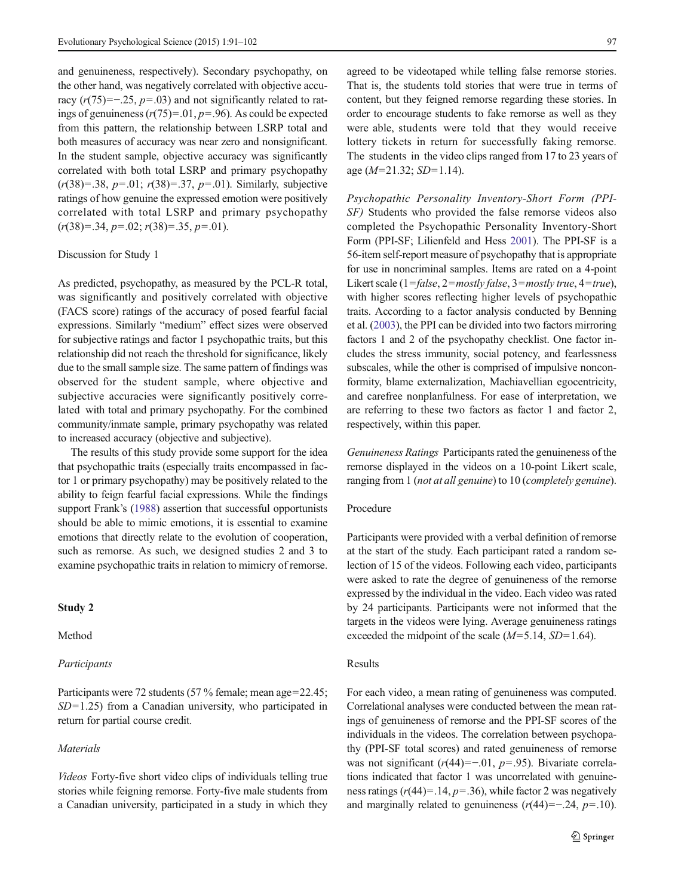and genuineness, respectively). Secondary psychopathy, on the other hand, was negatively correlated with objective accuracy  $(r(75)=-.25, p=.03)$  and not significantly related to ratings of genuineness  $(r(75)=0.01, p=.96)$ . As could be expected from this pattern, the relationship between LSRP total and both measures of accuracy was near zero and nonsignificant. In the student sample, objective accuracy was significantly correlated with both total LSRP and primary psychopathy  $(r(38)=.38, p=.01; r(38)=.37, p=.01)$ . Similarly, subjective ratings of how genuine the expressed emotion were positively correlated with total LSRP and primary psychopathy  $(r(38)=.34, p=.02; r(38)=.35, p=.01).$ 

## Discussion for Study 1

As predicted, psychopathy, as measured by the PCL-R total, was significantly and positively correlated with objective (FACS score) ratings of the accuracy of posed fearful facial expressions. Similarly "medium" effect sizes were observed for subjective ratings and factor 1 psychopathic traits, but this relationship did not reach the threshold for significance, likely due to the small sample size. The same pattern of findings was observed for the student sample, where objective and subjective accuracies were significantly positively correlated with total and primary psychopathy. For the combined community/inmate sample, primary psychopathy was related to increased accuracy (objective and subjective).

The results of this study provide some support for the idea that psychopathic traits (especially traits encompassed in factor 1 or primary psychopathy) may be positively related to the ability to feign fearful facial expressions. While the findings support Frank's [\(1988\)](#page-10-0) assertion that successful opportunists should be able to mimic emotions, it is essential to examine emotions that directly relate to the evolution of cooperation, such as remorse. As such, we designed studies 2 and 3 to examine psychopathic traits in relation to mimicry of remorse.

## Study 2

## Method

## Participants

Participants were 72 students (57 % female; mean age=22.45;  $SD=1.25$ ) from a Canadian university, who participated in return for partial course credit.

## Materials

Videos Forty-five short video clips of individuals telling true stories while feigning remorse. Forty-five male students from a Canadian university, participated in a study in which they agreed to be videotaped while telling false remorse stories. That is, the students told stories that were true in terms of content, but they feigned remorse regarding these stories. In order to encourage students to fake remorse as well as they were able, students were told that they would receive lottery tickets in return for successfully faking remorse. The students in the video clips ranged from 17 to 23 years of age  $(M=21.32; SD=1.14)$ .

Psychopathic Personality Inventory-Short Form (PPI-SF) Students who provided the false remorse videos also completed the Psychopathic Personality Inventory-Short Form (PPI-SF; Lilienfeld and Hess [2001](#page-11-0)). The PPI-SF is a 56-item self-report measure of psychopathy that is appropriate for use in noncriminal samples. Items are rated on a 4-point Likert scale (1=false, 2=mostly false, 3=mostly true, 4=true), with higher scores reflecting higher levels of psychopathic traits. According to a factor analysis conducted by Benning et al. ([2003](#page-10-0)), the PPI can be divided into two factors mirroring factors 1 and 2 of the psychopathy checklist. One factor includes the stress immunity, social potency, and fearlessness subscales, while the other is comprised of impulsive nonconformity, blame externalization, Machiavellian egocentricity, and carefree nonplanfulness. For ease of interpretation, we are referring to these two factors as factor 1 and factor 2, respectively, within this paper.

Genuineness Ratings Participants rated the genuineness of the remorse displayed in the videos on a 10-point Likert scale, ranging from 1 (not at all genuine) to 10 (completely genuine).

## Procedure

Participants were provided with a verbal definition of remorse at the start of the study. Each participant rated a random selection of 15 of the videos. Following each video, participants were asked to rate the degree of genuineness of the remorse expressed by the individual in the video. Each video was rated by 24 participants. Participants were not informed that the targets in the videos were lying. Average genuineness ratings exceeded the midpoint of the scale  $(M=5.14, SD=1.64)$ .

## Results

For each video, a mean rating of genuineness was computed. Correlational analyses were conducted between the mean ratings of genuineness of remorse and the PPI-SF scores of the individuals in the videos. The correlation between psychopathy (PPI-SF total scores) and rated genuineness of remorse was not significant ( $r(44)=-.01$ ,  $p=.95$ ). Bivariate correlations indicated that factor 1 was uncorrelated with genuineness ratings  $(r(44)=.14, p=.36)$ , while factor 2 was negatively and marginally related to genuineness  $(r(44)=-.24, p=.10)$ .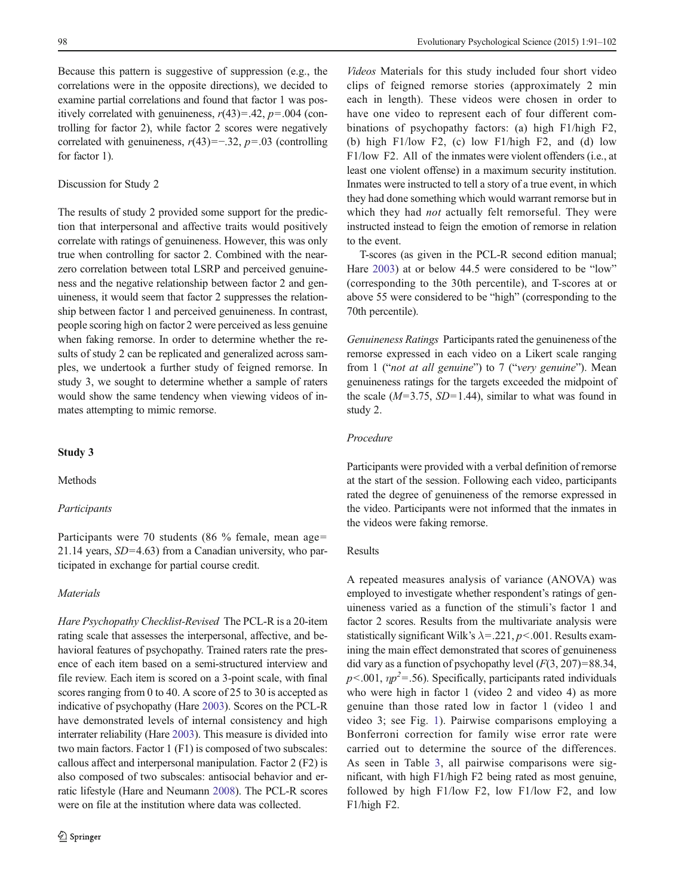Because this pattern is suggestive of suppression (e.g., the correlations were in the opposite directions), we decided to examine partial correlations and found that factor 1 was positively correlated with genuineness,  $r(43)=.42$ ,  $p=.004$  (controlling for factor 2), while factor 2 scores were negatively correlated with genuineness,  $r(43) = -.32$ ,  $p = .03$  (controlling for factor 1).

## Discussion for Study 2

The results of study 2 provided some support for the prediction that interpersonal and affective traits would positively correlate with ratings of genuineness. However, this was only true when controlling for sactor 2. Combined with the nearzero correlation between total LSRP and perceived genuineness and the negative relationship between factor 2 and genuineness, it would seem that factor 2 suppresses the relationship between factor 1 and perceived genuineness. In contrast, people scoring high on factor 2 were perceived as less genuine when faking remorse. In order to determine whether the results of study 2 can be replicated and generalized across samples, we undertook a further study of feigned remorse. In study 3, we sought to determine whether a sample of raters would show the same tendency when viewing videos of inmates attempting to mimic remorse.

## Study 3

## Methods

## Participants

Participants were 70 students (86 % female, mean age= 21.14 years, SD=4.63) from a Canadian university, who participated in exchange for partial course credit.

#### **Materials**

Hare Psychopathy Checklist-Revised The PCL-R is a 20-item rating scale that assesses the interpersonal, affective, and behavioral features of psychopathy. Trained raters rate the presence of each item based on a semi-structured interview and file review. Each item is scored on a 3-point scale, with final scores ranging from 0 to 40. A score of 25 to 30 is accepted as indicative of psychopathy (Hare [2003](#page-10-0)). Scores on the PCL-R have demonstrated levels of internal consistency and high interrater reliability (Hare [2003\)](#page-10-0). This measure is divided into two main factors. Factor 1 (F1) is composed of two subscales: callous affect and interpersonal manipulation. Factor 2 (F2) is also composed of two subscales: antisocial behavior and erratic lifestyle (Hare and Neumann [2008](#page-10-0)). The PCL-R scores were on file at the institution where data was collected.

Videos Materials for this study included four short video clips of feigned remorse stories (approximately 2 min each in length). These videos were chosen in order to have one video to represent each of four different combinations of psychopathy factors: (a) high F1/high F2, (b) high F1/low F2, (c) low F1/high F2, and (d) low F1/low F2. All of the inmates were violent offenders (i.e., at least one violent offense) in a maximum security institution. Inmates were instructed to tell a story of a true event, in which they had done something which would warrant remorse but in which they had *not* actually felt remorseful. They were instructed instead to feign the emotion of remorse in relation to the event.

T-scores (as given in the PCL-R second edition manual; Hare [2003\)](#page-10-0) at or below 44.5 were considered to be "low" (corresponding to the 30th percentile), and T-scores at or above 55 were considered to be "high" (corresponding to the 70th percentile).

Genuineness Ratings Participants rated the genuineness of the remorse expressed in each video on a Likert scale ranging from 1 ("not at all genuine") to 7 ("very genuine"). Mean genuineness ratings for the targets exceeded the midpoint of the scale  $(M=3.75, SD=1.44)$ , similar to what was found in study 2.

## Procedure

Participants were provided with a verbal definition of remorse at the start of the session. Following each video, participants rated the degree of genuineness of the remorse expressed in the video. Participants were not informed that the inmates in the videos were faking remorse.

## Results

A repeated measures analysis of variance (ANOVA) was employed to investigate whether respondent's ratings of genuineness varied as a function of the stimuli's factor 1 and factor 2 scores. Results from the multivariate analysis were statistically significant Wilk's  $\lambda = 0.221$ ,  $p < 0.001$ . Results examining the main effect demonstrated that scores of genuineness did vary as a function of psychopathy level  $(F(3, 207)=88.34,$  $p<.001$ ,  $np<sup>2</sup> = .56$ ). Specifically, participants rated individuals who were high in factor 1 (video 2 and video 4) as more genuine than those rated low in factor 1 (video 1 and video 3; see Fig. [1\)](#page-8-0). Pairwise comparisons employing a Bonferroni correction for family wise error rate were carried out to determine the source of the differences. As seen in Table [3,](#page-8-0) all pairwise comparisons were significant, with high F1/high F2 being rated as most genuine, followed by high F1/low F2, low F1/low F2, and low F1/high F2.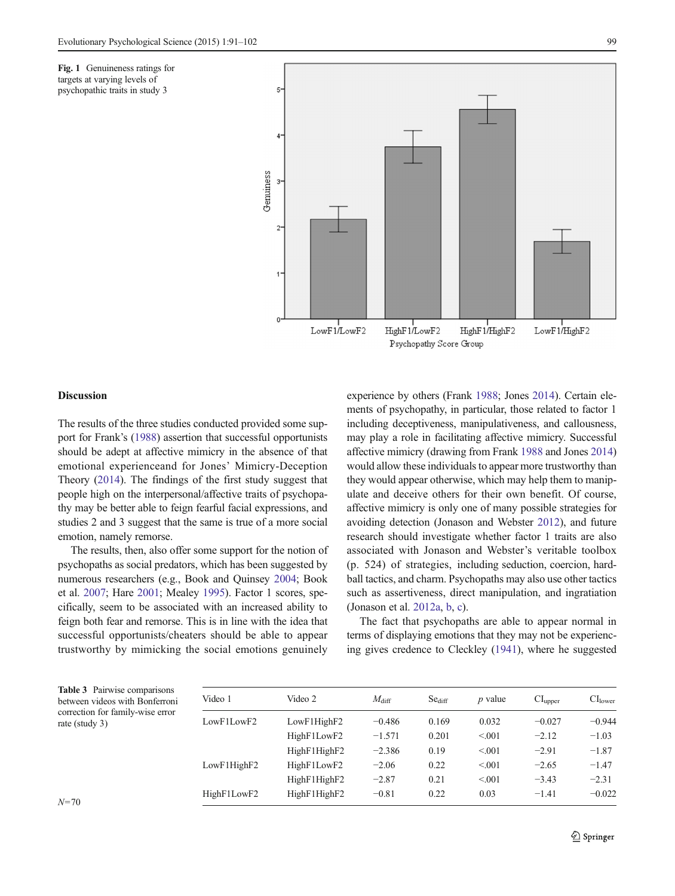<span id="page-8-0"></span>



# Discussion

The results of the three studies conducted provided some support for Frank's ([1988](#page-10-0)) assertion that successful opportunists should be adept at affective mimicry in the absence of that emotional experienceand for Jones' Mimicry-Deception Theory [\(2014\)](#page-11-0). The findings of the first study suggest that people high on the interpersonal/affective traits of psychopathy may be better able to feign fearful facial expressions, and studies 2 and 3 suggest that the same is true of a more social emotion, namely remorse.

The results, then, also offer some support for the notion of psychopaths as social predators, which has been suggested by numerous researchers (e.g., Book and Quinsey [2004](#page-10-0); Book et al. [2007](#page-10-0); Hare [2001;](#page-10-0) Mealey [1995](#page-11-0)). Factor 1 scores, specifically, seem to be associated with an increased ability to feign both fear and remorse. This is in line with the idea that successful opportunists/cheaters should be able to appear trustworthy by mimicking the social emotions genuinely

experience by others (Frank [1988](#page-10-0); Jones [2014\)](#page-11-0). Certain elements of psychopathy, in particular, those related to factor 1 including deceptiveness, manipulativeness, and callousness, may play a role in facilitating affective mimicry. Successful affective mimicry (drawing from Frank [1988](#page-10-0) and Jones [2014](#page-11-0)) would allow these individuals to appear more trustworthy than they would appear otherwise, which may help them to manipulate and deceive others for their own benefit. Of course, affective mimicry is only one of many possible strategies for avoiding detection (Jonason and Webster [2012](#page-10-0)), and future research should investigate whether factor 1 traits are also associated with Jonason and Webster's veritable toolbox (p. 524) of strategies, including seduction, coercion, hardball tactics, and charm. Psychopaths may also use other tactics such as assertiveness, direct manipulation, and ingratiation (Jonason et al. [2012a,](#page-11-0) [b,](#page-11-0) [c\)](#page-11-0).

The fact that psychopaths are able to appear normal in terms of displaying emotions that they may not be experiencing gives credence to Cleckley ([1941](#page-10-0)), where he suggested

| Video 1     | Video 2      | $M_{\rm diff}$ | Se <sub>diff</sub> | <i>p</i> value | $CI_{\text{upper}}$ | CI <sub>lower</sub> |
|-------------|--------------|----------------|--------------------|----------------|---------------------|---------------------|
| LowF1LowF2  | LowF1HighF2  | $-0.486$       | 0.169              | 0.032          | $-0.027$            | $-0.944$            |
|             | HighF1LowF2  | $-1.571$       | 0.201              | < 0.001        | $-2.12$             | $-1.03$             |
|             | HighF1HighF2 | $-2.386$       | 0.19               | < 0.01         | $-2.91$             | $-1.87$             |
| LowF1HighF2 | HighF1LowF2  | $-2.06$        | 0.22               | < 0.001        | $-2.65$             | $-1.47$             |
|             | HighF1HighF2 | $-2.87$        | 0.21               | < 0.01         | $-3.43$             | $-2.31$             |
| HighF1LowF2 | HighF1HighF2 | $-0.81$        | 0.22               | 0.03           | $-1.41$             | $-0.022$            |
|             |              |                |                    |                |                     |                     |

rate (study 3)

Table 3 Pairwise compari between videos with Bonfe correction for family-wise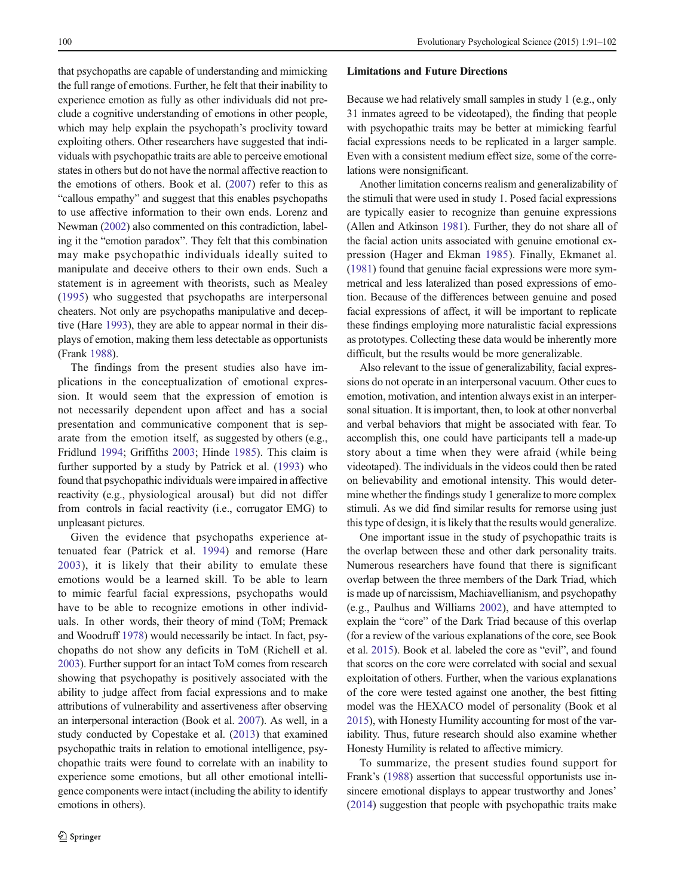that psychopaths are capable of understanding and mimicking the full range of emotions. Further, he felt that their inability to experience emotion as fully as other individuals did not preclude a cognitive understanding of emotions in other people, which may help explain the psychopath's proclivity toward exploiting others. Other researchers have suggested that individuals with psychopathic traits are able to perceive emotional states in others but do not have the normal affective reaction to the emotions of others. Book et al. [\(2007](#page-10-0)) refer to this as "callous empathy" and suggest that this enables psychopaths to use affective information to their own ends. Lorenz and Newman ([2002](#page-11-0)) also commented on this contradiction, labeling it the "emotion paradox". They felt that this combination may make psychopathic individuals ideally suited to manipulate and deceive others to their own ends. Such a statement is in agreement with theorists, such as Mealey [\(1995\)](#page-11-0) who suggested that psychopaths are interpersonal cheaters. Not only are psychopaths manipulative and deceptive (Hare [1993\)](#page-10-0), they are able to appear normal in their displays of emotion, making them less detectable as opportunists (Frank [1988\)](#page-10-0).

The findings from the present studies also have implications in the conceptualization of emotional expression. It would seem that the expression of emotion is not necessarily dependent upon affect and has a social presentation and communicative component that is separate from the emotion itself, as suggested by others (e.g., Fridlund [1994;](#page-10-0) Griffiths [2003](#page-10-0); Hinde [1985](#page-10-0)). This claim is further supported by a study by Patrick et al. ([1993\)](#page-11-0) who found that psychopathic individuals were impaired in affective reactivity (e.g., physiological arousal) but did not differ from controls in facial reactivity (i.e., corrugator EMG) to unpleasant pictures.

Given the evidence that psychopaths experience attenuated fear (Patrick et al. [1994\)](#page-11-0) and remorse (Hare [2003\)](#page-10-0), it is likely that their ability to emulate these emotions would be a learned skill. To be able to learn to mimic fearful facial expressions, psychopaths would have to be able to recognize emotions in other individuals. In other words, their theory of mind (ToM; Premack and Woodruff [1978](#page-11-0)) would necessarily be intact. In fact, psychopaths do not show any deficits in ToM (Richell et al. [2003\)](#page-11-0). Further support for an intact ToM comes from research showing that psychopathy is positively associated with the ability to judge affect from facial expressions and to make attributions of vulnerability and assertiveness after observing an interpersonal interaction (Book et al. [2007\)](#page-10-0). As well, in a study conducted by Copestake et al. ([2013\)](#page-10-0) that examined psychopathic traits in relation to emotional intelligence, psychopathic traits were found to correlate with an inability to experience some emotions, but all other emotional intelligence components were intact (including the ability to identify emotions in others).

#### Limitations and Future Directions

Because we had relatively small samples in study 1 (e.g., only 31 inmates agreed to be videotaped), the finding that people with psychopathic traits may be better at mimicking fearful facial expressions needs to be replicated in a larger sample. Even with a consistent medium effect size, some of the correlations were nonsignificant.

Another limitation concerns realism and generalizability of the stimuli that were used in study 1. Posed facial expressions are typically easier to recognize than genuine expressions (Allen and Atkinson [1981](#page-10-0)). Further, they do not share all of the facial action units associated with genuine emotional expression (Hager and Ekman [1985\)](#page-10-0). Finally, Ekmanet al. [\(1981\)](#page-10-0) found that genuine facial expressions were more symmetrical and less lateralized than posed expressions of emotion. Because of the differences between genuine and posed facial expressions of affect, it will be important to replicate these findings employing more naturalistic facial expressions as prototypes. Collecting these data would be inherently more difficult, but the results would be more generalizable.

Also relevant to the issue of generalizability, facial expressions do not operate in an interpersonal vacuum. Other cues to emotion, motivation, and intention always exist in an interpersonal situation. It is important, then, to look at other nonverbal and verbal behaviors that might be associated with fear. To accomplish this, one could have participants tell a made-up story about a time when they were afraid (while being videotaped). The individuals in the videos could then be rated on believability and emotional intensity. This would determine whether the findings study 1 generalize to more complex stimuli. As we did find similar results for remorse using just this type of design, it is likely that the results would generalize.

One important issue in the study of psychopathic traits is the overlap between these and other dark personality traits. Numerous researchers have found that there is significant overlap between the three members of the Dark Triad, which is made up of narcissism, Machiavellianism, and psychopathy (e.g., Paulhus and Williams [2002](#page-11-0)), and have attempted to explain the "core" of the Dark Triad because of this overlap (for a review of the various explanations of the core, see Book et al. [2015](#page-10-0)). Book et al. labeled the core as "evil", and found that scores on the core were correlated with social and sexual exploitation of others. Further, when the various explanations of the core were tested against one another, the best fitting model was the HEXACO model of personality (Book et al [2015\)](#page-10-0), with Honesty Humility accounting for most of the variability. Thus, future research should also examine whether Honesty Humility is related to affective mimicry.

To summarize, the present studies found support for Frank's ([1988](#page-10-0)) assertion that successful opportunists use insincere emotional displays to appear trustworthy and Jones' [\(2014\)](#page-11-0) suggestion that people with psychopathic traits make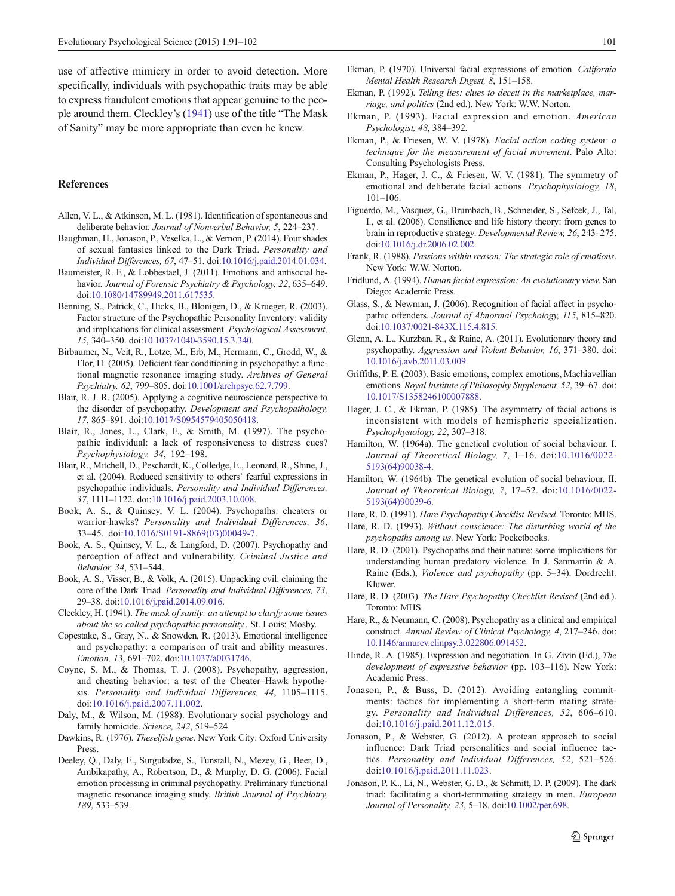<span id="page-10-0"></span>use of affective mimicry in order to avoid detection. More specifically, individuals with psychopathic traits may be able to express fraudulent emotions that appear genuine to the people around them. Cleckley's (1941) use of the title "The Mask of Sanity" may be more appropriate than even he knew.

## References

- Allen, V. L., & Atkinson, M. L. (1981). Identification of spontaneous and deliberate behavior. Journal of Nonverbal Behavior, 5, 224–237.
- Baughman, H., Jonason, P., Veselka, L., & Vernon, P. (2014). Four shades of sexual fantasies linked to the Dark Triad. Personality and Individual Differences, 67, 47–51. doi[:10.1016/j.paid.2014.01.034](http://dx.doi.org/10.1016/j.paid.2014.01.034).
- Baumeister, R. F., & Lobbestael, J. (2011). Emotions and antisocial behavior. Journal of Forensic Psychiatry & Psychology, 22, 635–649. doi:[10.1080/14789949.2011.617535.](http://dx.doi.org/10.1080/14789949.2011.617535)
- Benning, S., Patrick, C., Hicks, B., Blonigen, D., & Krueger, R. (2003). Factor structure of the Psychopathic Personality Inventory: validity and implications for clinical assessment. Psychological Assessment, 15, 340–350. doi[:10.1037/1040-3590.15.3.340](http://dx.doi.org/10.1037/1040-3590.15.3.340).
- Birbaumer, N., Veit, R., Lotze, M., Erb, M., Hermann, C., Grodd, W., & Flor, H. (2005). Deficient fear conditioning in psychopathy: a functional magnetic resonance imaging study. Archives of General Psychiatry, 62, 799–805. doi[:10.1001/archpsyc.62.7.799](http://dx.doi.org/10.1001/archpsyc.62.7.799).
- Blair, R. J. R. (2005). Applying a cognitive neuroscience perspective to the disorder of psychopathy. Development and Psychopathology, 17, 865–891. doi[:10.1017/S0954579405050418](http://dx.doi.org/10.1017/S0954579405050418).
- Blair, R., Jones, L., Clark, F., & Smith, M. (1997). The psychopathic individual: a lack of responsiveness to distress cues? Psychophysiology, 34, 192–198.
- Blair, R., Mitchell, D., Peschardt, K., Colledge, E., Leonard, R., Shine, J., et al. (2004). Reduced sensitivity to others' fearful expressions in psychopathic individuals. Personality and Individual Differences, 37, 1111–1122. doi:[10.1016/j.paid.2003.10.008](http://dx.doi.org/10.1016/j.paid.2003.10.008).
- Book, A. S., & Quinsey, V. L. (2004). Psychopaths: cheaters or warrior-hawks? Personality and Individual Differences, 36, 33–45. doi:[10.1016/S0191-8869\(03\)00049-7](http://dx.doi.org/10.1016/S0191-8869(03)00049-7).
- Book, A. S., Quinsey, V. L., & Langford, D. (2007). Psychopathy and perception of affect and vulnerability. Criminal Justice and Behavior, 34, 531–544.
- Book, A. S., Visser, B., & Volk, A. (2015). Unpacking evil: claiming the core of the Dark Triad. Personality and Individual Differences, 73, 29–38. doi:[10.1016/j.paid.2014.09.016](http://dx.doi.org/10.1016/j.paid.2014.09.016).
- Cleckley, H. (1941). The mask of sanity: an attempt to clarify some issues about the so called psychopathic personality.. St. Louis: Mosby.
- Copestake, S., Gray, N., & Snowden, R. (2013). Emotional intelligence and psychopathy: a comparison of trait and ability measures. Emotion, 13, 691–702. doi:[10.1037/a0031746](http://dx.doi.org/10.1037/a0031746).
- Coyne, S. M., & Thomas, T. J. (2008). Psychopathy, aggression, and cheating behavior: a test of the Cheater–Hawk hypothesis. Personality and Individual Differences, 44, 1105–1115. doi[:10.1016/j.paid.2007.11.002.](http://dx.doi.org/10.1016/j.paid.2007.11.002)
- Daly, M., & Wilson, M. (1988). Evolutionary social psychology and family homicide. Science, 242, 519-524.
- Dawkins, R. (1976). Theselfish gene. New York City: Oxford University Press.
- Deeley, Q., Daly, E., Surguladze, S., Tunstall, N., Mezey, G., Beer, D., Ambikapathy, A., Robertson, D., & Murphy, D. G. (2006). Facial emotion processing in criminal psychopathy. Preliminary functional magnetic resonance imaging study. British Journal of Psychiatry, 189, 533–539.
- Ekman, P. (1970). Universal facial expressions of emotion. California Mental Health Research Digest, 8, 151–158.
- Ekman, P. (1992). Telling lies: clues to deceit in the marketplace, marriage, and politics (2nd ed.). New York: W.W. Norton.
- Ekman, P. (1993). Facial expression and emotion. American Psychologist, 48, 384–392.
- Ekman, P., & Friesen, W. V. (1978). Facial action coding system: a technique for the measurement of facial movement. Palo Alto: Consulting Psychologists Press.
- Ekman, P., Hager, J. C., & Friesen, W. V. (1981). The symmetry of emotional and deliberate facial actions. Psychophysiology, 18, 101–106.
- Figuerdo, M., Vasquez, G., Brumbach, B., Schneider, S., Sefcek, J., Tal, I., et al. (2006). Consilience and life history theory: from genes to brain in reproductive strategy. Developmental Review, 26, 243–275. doi:[10.1016/j.dr.2006.02.002.](http://dx.doi.org/10.1016/j.dr.2006.02.002)
- Frank, R. (1988). Passions within reason: The strategic role of emotions. New York: W.W. Norton.
- Fridlund, A. (1994). Human facial expression: An evolutionary view. San Diego: Academic Press.
- Glass, S., & Newman, J. (2006). Recognition of facial affect in psychopathic offenders. Journal of Abnormal Psychology, 115, 815–820. doi:[10.1037/0021-843X.115.4.815](http://dx.doi.org/10.1037/0021-843X.115.4.815).
- Glenn, A. L., Kurzban, R., & Raine, A. (2011). Evolutionary theory and psychopathy. Aggression and Violent Behavior, 16, 371–380. doi: [10.1016/j.avb.2011.03.009](http://dx.doi.org/10.1016/j.avb.2011.03.009).
- Griffiths, P. E. (2003). Basic emotions, complex emotions, Machiavellian emotions. Royal Institute of Philosophy Supplement, 52, 39–67. doi: [10.1017/S1358246100007888.](http://dx.doi.org/10.1017/S1358246100007888)
- Hager, J. C., & Ekman, P. (1985). The asymmetry of facial actions is inconsistent with models of hemispheric specialization. Psychophysiology, 22, 307–318.
- Hamilton, W. (1964a). The genetical evolution of social behaviour. I. Journal of Theoretical Biology, 7, 1–16. doi:[10.1016/0022-](http://dx.doi.org/10.1016/0022-5193(64)90038-4) [5193\(64\)90038-4.](http://dx.doi.org/10.1016/0022-5193(64)90038-4)
- Hamilton, W. (1964b). The genetical evolution of social behaviour. II. Journal of Theoretical Biology, 7, 17–52. doi:[10.1016/0022-](http://dx.doi.org/10.1016/0022-5193(64)90039-6) [5193\(64\)90039-6.](http://dx.doi.org/10.1016/0022-5193(64)90039-6)
- Hare, R. D. (1991). Hare Psychopathy Checklist-Revised. Toronto: MHS.
- Hare, R. D. (1993). Without conscience: The disturbing world of the psychopaths among us. New York: Pocketbooks.
- Hare, R. D. (2001). Psychopaths and their nature: some implications for understanding human predatory violence. In J. Sanmartin & A. Raine (Eds.), Violence and psychopathy (pp. 5–34). Dordrecht: Kluwer.
- Hare, R. D. (2003). The Hare Psychopathy Checklist-Revised (2nd ed.). Toronto: MHS.
- Hare, R., & Neumann, C. (2008). Psychopathy as a clinical and empirical construct. Annual Review of Clinical Psychology, 4, 217–246. doi: [10.1146/annurev.clinpsy.3.022806.091452.](http://dx.doi.org/10.1146/annurev.clinpsy.3.022806.091452)
- Hinde, R. A. (1985). Expression and negotiation. In G. Zivin (Ed.), The development of expressive behavior (pp. 103–116). New York: Academic Press.
- Jonason, P., & Buss, D. (2012). Avoiding entangling commitments: tactics for implementing a short-term mating strategy. Personality and Individual Differences, 52, 606–610. doi:[10.1016/j.paid.2011.12.015](http://dx.doi.org/10.1016/j.paid.2011.12.015).
- Jonason, P., & Webster, G. (2012). A protean approach to social influence: Dark Triad personalities and social influence tactics. Personality and Individual Differences, 52, 521–526. doi:[10.1016/j.paid.2011.11.023.](http://dx.doi.org/10.1016/j.paid.2011.11.023)
- Jonason, P. K., Li, N., Webster, G. D., & Schmitt, D. P. (2009). The dark triad: facilitating a short-termmating strategy in men. European Journal of Personality, 23, 5–18. doi[:10.1002/per.698](http://dx.doi.org/10.1002/per.698).